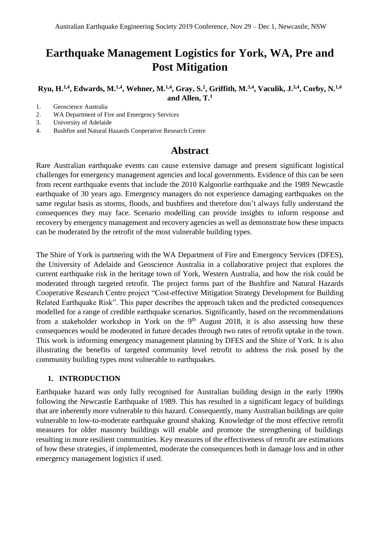# **Earthquake Management Logistics for York, WA, Pre and Post Mitigation**

**Ryu, H.1,4 , Edwards, M.1,4, Wehner, M.1,4, Gray, S.<sup>2</sup> , Griffith, M.3,4, Vaculik, J.3,4 , Corby, N.1,4 and Allen, T.<sup>1</sup>**

- 1. Geoscience Australia
- 2. WA Department of Fire and Emergency Services
- 3. University of Adelaide
- 4. Bushfire and Natural Hazards Cooperative Research Centre

# **Abstract**

Rare Australian earthquake events can cause extensive damage and present significant logistical challenges for emergency management agencies and local governments. Evidence of this can be seen from recent earthquake events that include the 2010 Kalgoorlie earthquake and the 1989 Newcastle earthquake of 30 years ago. Emergency managers do not experience damaging earthquakes on the same regular basis as storms, floods, and bushfires and therefore don't always fully understand the consequences they may face. Scenario modelling can provide insights to inform response and recovery by emergency management and recovery agencies as well as demonstrate how these impacts can be moderated by the retrofit of the most vulnerable building types.

The Shire of York is partnering with the WA Department of Fire and Emergency Services (DFES), the University of Adelaide and Geoscience Australia in a collaborative project that explores the current earthquake risk in the heritage town of York, Western Australia, and how the risk could be moderated through targeted retrofit. The project forms part of the Bushfire and Natural Hazards Cooperative Research Centre project "Cost-effective Mitigation Strategy Development for Building Related Earthquake Risk". This paper describes the approach taken and the predicted consequences modelled for a range of credible earthquake scenarios. Significantly, based on the recommendations from a stakeholder workshop in York on the  $9<sup>th</sup>$  August 2018, it is also assessing how these consequences would be moderated in future decades through two rates of retrofit uptake in the town. This work is informing emergency management planning by DFES and the Shire of York. It is also illustrating the benefits of targeted community level retrofit to address the risk posed by the community building types most vulnerable to earthquakes.

#### **1. INTRODUCTION**

Earthquake hazard was only fully recognised for Australian building design in the early 1990s following the Newcastle Earthquake of 1989. This has resulted in a significant legacy of buildings that are inherently more vulnerable to this hazard. Consequently, many Australian buildings are quite vulnerable to low-to-moderate earthquake ground shaking. Knowledge of the most effective retrofit measures for older masonry buildings will enable and promote the strengthening of buildings resulting in more resilient communities. Key measures of the effectiveness of retrofit are estimations of how these strategies, if implemented, moderate the consequences both in damage loss and in other emergency management logistics if used.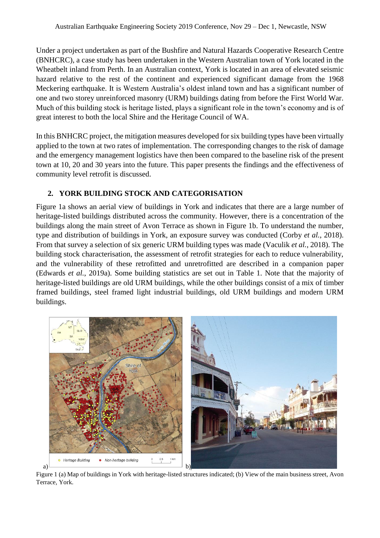Under a project undertaken as part of the Bushfire and Natural Hazards Cooperative Research Centre (BNHCRC), a case study has been undertaken in the Western Australian town of York located in the Wheatbelt inland from Perth. In an Australian context, York is located in an area of elevated seismic hazard relative to the rest of the continent and experienced significant damage from the 1968 Meckering earthquake. It is Western Australia's oldest inland town and has a significant number of one and two storey unreinforced masonry (URM) buildings dating from before the First World War. Much of this building stock is heritage listed, plays a significant role in the town's economy and is of great interest to both the local Shire and the Heritage Council of WA.

In this BNHCRC project, the mitigation measures developed for six building types have been virtually applied to the town at two rates of implementation. The corresponding changes to the risk of damage and the emergency management logistics have then been compared to the baseline risk of the present town at 10, 20 and 30 years into the future. This paper presents the findings and the effectiveness of community level retrofit is discussed.

## **2. YORK BUILDING STOCK AND CATEGORISATION**

Figure 1a shows an aerial view of buildings in York and indicates that there are a large number of heritage-listed buildings distributed across the community. However, there is a concentration of the buildings along the main street of Avon Terrace as shown in Figure 1b. To understand the number, type and distribution of buildings in York, an exposure survey was conducted (Corby *et al.*, 2018). From that survey a selection of six generic URM building types was made (Vaculik *et al.*, 2018). The building stock characterisation, the assessment of retrofit strategies for each to reduce vulnerability, and the vulnerability of these retrofitted and unretrofitted are described in a companion paper (Edwards *et al.*, 2019a). Some building statistics are set out in Table 1. Note that the majority of heritage-listed buildings are old URM buildings, while the other buildings consist of a mix of timber framed buildings, steel framed light industrial buildings, old URM buildings and modern URM buildings.



Figure 1 (a) Map of buildings in York with heritage-listed structures indicated; (b) View of the main business street, Avon Terrace, York.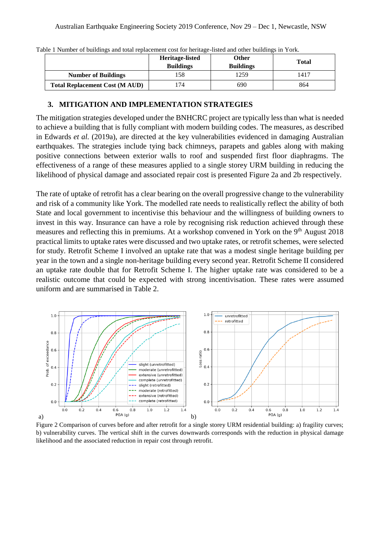|                                       | Heritage-listed<br><b>Buildings</b> | Other<br><b>Buildings</b> | Total |
|---------------------------------------|-------------------------------------|---------------------------|-------|
| <b>Number of Buildings</b>            | .58                                 | 1259                      | 1417  |
| <b>Total Replacement Cost (M AUD)</b> | 74                                  | 690                       | 864   |

Table 1 Number of buildings and total replacement cost for heritage-listed and other buildings in York.

#### **3. MITIGATION AND IMPLEMENTATION STRATEGIES**

The mitigation strategies developed under the BNHCRC project are typically less than what is needed to achieve a building that is fully compliant with modern building codes. The measures, as described in Edwards *et al.* (2019a), are directed at the key vulnerabilities evidenced in damaging Australian earthquakes. The strategies include tying back chimneys, parapets and gables along with making positive connections between exterior walls to roof and suspended first floor diaphragms. The effectiveness of a range of these measures applied to a single storey URM building in reducing the likelihood of physical damage and associated repair cost is presented Figure 2a and 2b respectively.

The rate of uptake of retrofit has a clear bearing on the overall progressive change to the vulnerability and risk of a community like York. The modelled rate needs to realistically reflect the ability of both State and local government to incentivise this behaviour and the willingness of building owners to invest in this way. Insurance can have a role by recognising risk reduction achieved through these measures and reflecting this in premiums. At a workshop convened in York on the 9<sup>th</sup> August 2018 practical limits to uptake rates were discussed and two uptake rates, or retrofit schemes, were selected for study. Retrofit Scheme I involved an uptake rate that was a modest single heritage building per year in the town and a single non-heritage building every second year. Retrofit Scheme II considered an uptake rate double that for Retrofit Scheme I. The higher uptake rate was considered to be a realistic outcome that could be expected with strong incentivisation. These rates were assumed uniform and are summarised in Table 2.



Figure 2 Comparison of curves before and after retrofit for a single storey URM residential building: a) fragility curves; b) vulnerability curves. The vertical shift in the curves downwards corresponds with the reduction in physical damage likelihood and the associated reduction in repair cost through retrofit.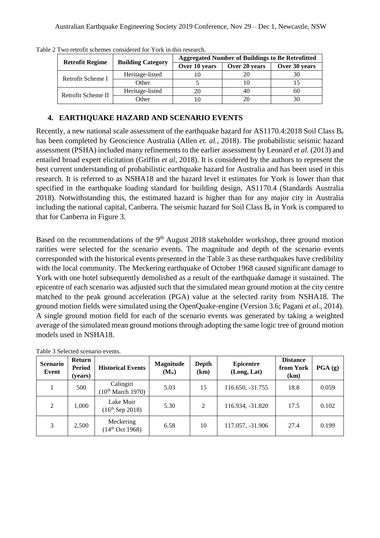| <b>Retrofit Regime</b> | <b>Building Category</b> | <b>Aggregated Number of Buildings to Be Retrofitted</b> |               |               |  |  |  |
|------------------------|--------------------------|---------------------------------------------------------|---------------|---------------|--|--|--|
|                        |                          | Over 10 years                                           | Over 20 years | Over 30 years |  |  |  |
| Retrofit Scheme I      | Heritage-listed          |                                                         |               |               |  |  |  |
|                        | Other                    |                                                         |               |               |  |  |  |
| Retrofit Scheme II     | Heritage-listed          |                                                         |               | 60            |  |  |  |
|                        | <b>Other</b>             |                                                         |               |               |  |  |  |

Table 2 Two retrofit schemes considered for York in this research.

# **4. EARTHQUAKE HAZARD AND SCENARIO EVENTS**

Recently, a new national scale assessment of the earthquake hazard for AS1170.4:2018 Soil Class B<sup>e</sup> has been completed by Geoscience Australia (Allen *et. al.*, 2018). The probabilistic seismic hazard assessment (PSHA) included many refinements to the earlier assessment by Leonard *et al.* (2013) and entailed broad expert elicitation (Griffin *et al*, 2018). It is considered by the authors to represent the best current understanding of probabilistic earthquake hazard for Australia and has been used in this research. It is referred to as NSHA18 and the hazard level it estimates for York is lower than that specified in the earthquake loading standard for building design, AS1170.4 (Standards Australia 2018). Notwithstanding this, the estimated hazard is higher than for any major city in Australia including the national capital, Canberra. The seismic hazard for Soil Class B<sup>e</sup> in York is compared to that for Canberra in Figure 3.

Based on the recommendations of the 9<sup>th</sup> August 2018 stakeholder workshop, three ground motion rarities were selected for the scenario events. The magnitude and depth of the scenario events corresponded with the historical events presented in the Table 3 as these earthquakes have credibility with the local community. The Meckering earthquake of October 1968 caused significant damage to York with one hotel subsequently demolished as a result of the earthquake damage it sustained. The epicentre of each scenario was adjusted such that the simulated mean ground motion at the city centre matched to the peak ground acceleration (PGA) value at the selected rarity from NSHA18. The ground motion fields were simulated using the OpenQuake-engine (Version 3.6; Pagani *et al.*, 2014). A single ground motion field for each of the scenario events was generated by taking a weighted average of the simulated mean ground motions through adopting the same logic tree of ground motion models used in NSHA18.

| <b>Scenario</b><br>Event | Return<br>Period<br>(years) | <b>Historical Events</b>                   | <b>Magnitude</b><br>$(M_w)$ | Depth<br>(km) | <b>Epicentre</b><br>(Long, Lat) | <b>Distance</b><br>from York<br>(km) | $\textbf{PGA}$ (g) |
|--------------------------|-----------------------------|--------------------------------------------|-----------------------------|---------------|---------------------------------|--------------------------------------|--------------------|
|                          | 500                         | Calingiri<br>(10 <sup>th</sup> March 1970) | 5.03                        | 15            | 116.650, -31.755                | 18.8                                 | 0.059              |
| 2                        | 1,000                       | Lake Muir<br>$(16th$ Sep 2018)             | 5.30                        | 2             | 116.934, -31.820                | 17.5                                 | 0.102              |
| 3                        | 2,500                       | Meckering<br>(14 <sup>th</sup> Oct 1968)   | 6.58                        | 10            | 117.057, -31.906                | 27.4                                 | 0.199              |

Table 3 Selected scenario events.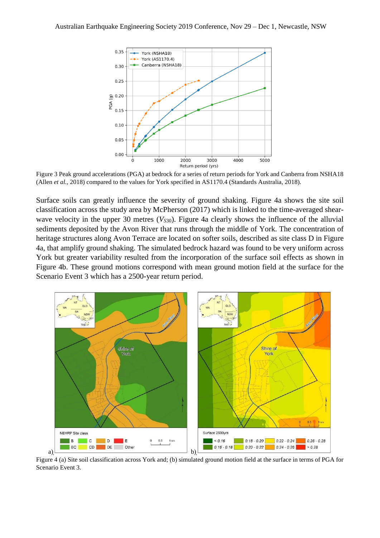

Figure 3 Peak ground accelerations (PGA) at bedrock for a series of return periods for York and Canberra from NSHA18 (Allen *et al.*, 2018) compared to the values for York specified in AS1170.4 (Standards Australia, 2018).

Surface soils can greatly influence the severity of ground shaking. Figure 4a shows the site soil classification across the study area by McPherson (2017) which is linked to the time-averaged shearwave velocity in the upper 30 metres  $(V_{530})$ . Figure 4a clearly shows the influence of the alluvial sediments deposited by the Avon River that runs through the middle of York. The concentration of heritage structures along Avon Terrace are located on softer soils, described as site class D in Figure 4a, that amplify ground shaking. The simulated bedrock hazard was found to be very uniform across York but greater variability resulted from the incorporation of the surface soil effects as shown in Figure 4b. These ground motions correspond with mean ground motion field at the surface for the Scenario Event 3 which has a 2500-year return period.



Figure 4 (a) Site soil classification across York and; (b) simulated ground motion field at the surface in terms of PGA for Scenario Event 3.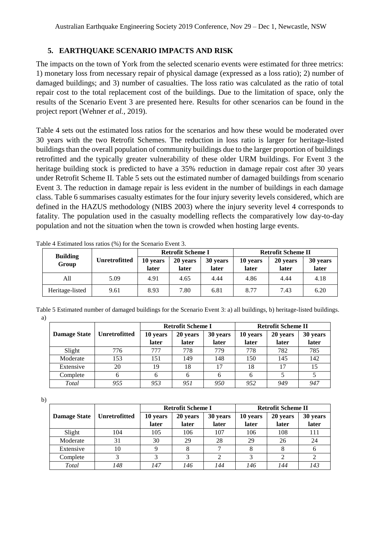#### **5. EARTHQUAKE SCENARIO IMPACTS AND RISK**

The impacts on the town of York from the selected scenario events were estimated for three metrics: 1) monetary loss from necessary repair of physical damage (expressed as a loss ratio); 2) number of damaged buildings; and 3) number of casualties. The loss ratio was calculated as the ratio of total repair cost to the total replacement cost of the buildings. Due to the limitation of space, only the results of the Scenario Event 3 are presented here. Results for other scenarios can be found in the project report (Wehner *et al.*, 2019).

Table 4 sets out the estimated loss ratios for the scenarios and how these would be moderated over 30 years with the two Retrofit Schemes. The reduction in loss ratio is larger for heritage-listed buildings than the overall population of community buildings due to the larger proportion of buildings retrofitted and the typically greater vulnerability of these older URM buildings. For Event 3 the heritage building stock is predicted to have a 35% reduction in damage repair cost after 30 years under Retrofit Scheme II. Table 5 sets out the estimated number of damaged buildings from scenario Event 3. The reduction in damage repair is less evident in the number of buildings in each damage class. Table 6 summarises casualty estimates for the four injury severity levels considered, which are defined in the HAZUS methodology (NIBS 2003) where the injury severity level 4 corresponds to fatality. The population used in the casualty modelling reflects the comparatively low day-to-day population and not the situation when the town is crowded when hosting large events.

|                          |               |                   | <b>Retrofit Scheme I</b> |                   | <b>Retrofit Scheme II</b> |                   |                   |  |
|--------------------------|---------------|-------------------|--------------------------|-------------------|---------------------------|-------------------|-------------------|--|
| <b>Building</b><br>Group | Unretrofitted | 10 years<br>later | 20 years<br>later        | 30 years<br>later | 10 years<br>later         | 20 years<br>later | 30 years<br>later |  |
| All                      | 5.09          | 4.91              | 4.65                     | 4.44              | 4.86                      | 4.44              | 4.18              |  |
| Heritage-listed          | 9.61          | 8.93              | 7.80                     | 6.81              | 8.77                      | 7.43              | 6.20              |  |

Table 4 Estimated loss ratios (%) for the Scenario Event 3.

Table 5 Estimated number of damaged buildings for the Scenario Event 3: a) all buildings, b) heritage-listed buildings. a)

|                     |                      |          | <b>Retrofit Scheme I</b> |          | <b>Retrofit Scheme II</b> |          |          |  |
|---------------------|----------------------|----------|--------------------------|----------|---------------------------|----------|----------|--|
| <b>Damage State</b> | <b>Unretrofitted</b> | 10 years | 20 years                 | 30 years | 10 years                  | 20 years | 30 years |  |
|                     |                      | later    | later                    | later    | later                     | later    | later    |  |
| Slight              | 776                  | 777      | 778                      | 779      | 778                       | 782      | 785      |  |
| Moderate            | 153                  | 151      | 149                      | 148      | 150                       | 145      | 142      |  |
| Extensive           | 20                   | 19       | 18                       | 17       | 18                        | 17       | 15       |  |
| Complete            | 6                    | 6        | 6                        |          | 6                         |          |          |  |
| Total               | 955                  | 953      | 951                      | 950      | 952                       | 949      | 947      |  |

b)

|                     |                      |          | <b>Retrofit Scheme I</b> |          | <b>Retrofit Scheme II</b> |          |          |  |
|---------------------|----------------------|----------|--------------------------|----------|---------------------------|----------|----------|--|
| <b>Damage State</b> | <b>Unretrofitted</b> | 10 years | 20 years                 | 30 years | 10 years                  | 20 years | 30 years |  |
|                     |                      | later    | later                    | later    | later                     | later    | later    |  |
| Slight              | 104                  | 105      | 106                      | 107      | 106                       | 108      | 111      |  |
| Moderate            | 31                   | 30       | 29                       | 28       | 29                        | 26       | 24       |  |
| Extensive           | 10                   | 9        |                          |          |                           | 8        | O        |  |
| Complete            |                      |          |                          |          |                           | າ        |          |  |
| Total               | 148                  | 147      | 146                      | 144      | 146                       | 144      | 143      |  |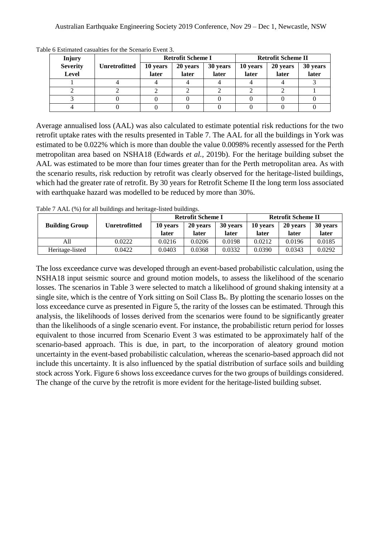| Injury                          |                      | <b>Retrofit Scheme I</b> |                   |                   | <b>Retrofit Scheme II</b> |                   |                   |  |
|---------------------------------|----------------------|--------------------------|-------------------|-------------------|---------------------------|-------------------|-------------------|--|
| <b>Severity</b><br><b>Level</b> | <b>Unretrofitted</b> | 10 years<br>later        | 20 years<br>later | 30 years<br>later | 10 years<br>later         | 20 years<br>later | 30 years<br>later |  |
|                                 |                      |                          |                   |                   |                           |                   |                   |  |
|                                 |                      |                          |                   |                   |                           |                   |                   |  |
|                                 |                      |                          |                   |                   |                           |                   |                   |  |
|                                 |                      |                          |                   |                   |                           |                   |                   |  |

Table 6 Estimated casualties for the Scenario Event 3.

Average annualised loss (AAL) was also calculated to estimate potential risk reductions for the two retrofit uptake rates with the results presented in Table 7. The AAL for all the buildings in York was estimated to be 0.022% which is more than double the value 0.0098% recently assessed for the Perth metropolitan area based on NSHA18 (Edwards *et al.*, 2019b). For the heritage building subset the AAL was estimated to be more than four times greater than for the Perth metropolitan area. As with the scenario results, risk reduction by retrofit was clearly observed for the heritage-listed buildings, which had the greater rate of retrofit. By 30 years for Retrofit Scheme II the long term loss associated with earthquake hazard was modelled to be reduced by more than 30%.

Table 7 AAL (%) for all buildings and heritage-listed buildings.

|                       |                      |          | <b>Retrofit Scheme I</b> |          | <b>Retrofit Scheme II</b> |          |          |
|-----------------------|----------------------|----------|--------------------------|----------|---------------------------|----------|----------|
| <b>Building Group</b> | <b>Unretrofitted</b> | 10 years | 20 years                 | 30 years | 10 years                  | 20 years | 30 years |
|                       |                      | later    | later                    | later    | later                     | later    | later    |
| A11                   | 0.0222               | 0.0216   | 0.0206                   | 0.0198   | 0.0212                    | 0.0196   | 0.0185   |
| Heritage-listed       | 0.0422               | 0.0403   | 0.0368                   | 0.0332   | 0.0390                    | 0.0343   | 0.0292   |

The loss exceedance curve was developed through an event-based probabilistic calculation, using the NSHA18 input seismic source and ground motion models, to assess the likelihood of the scenario losses. The scenarios in Table 3 were selected to match a likelihood of ground shaking intensity at a single site, which is the centre of York sitting on Soil Class  $B_e$ . By plotting the scenario losses on the loss exceedance curve as presented in Figure 5, the rarity of the losses can be estimated. Through this analysis, the likelihoods of losses derived from the scenarios were found to be significantly greater than the likelihoods of a single scenario event. For instance, the probabilistic return period for losses equivalent to those incurred from Scenario Event 3 was estimated to be approximately half of the scenario-based approach. This is due, in part, to the incorporation of aleatory ground motion uncertainty in the event-based probabilistic calculation, whereas the scenario-based approach did not include this uncertainty. It is also influenced by the spatial distribution of surface soils and building stock across York. Figure 6 shows loss exceedance curves for the two groups of buildings considered. The change of the curve by the retrofit is more evident for the heritage-listed building subset.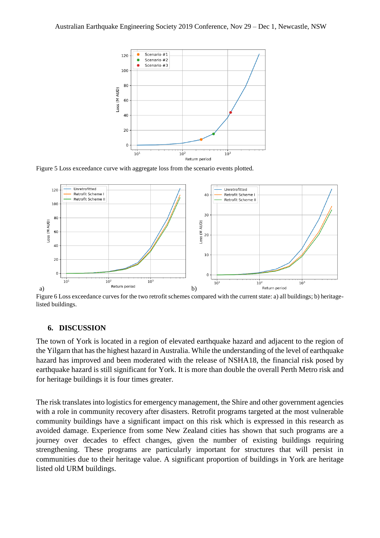

Figure 5 Loss exceedance curve with aggregate loss from the scenario events plotted.



Figure 6 Loss exceedance curves for the two retrofit schemes compared with the current state: a) all buildings; b) heritagelisted buildings.

#### **6. DISCUSSION**

The town of York is located in a region of elevated earthquake hazard and adjacent to the region of the Yilgarn that has the highest hazard in Australia. While the understanding of the level of earthquake hazard has improved and been moderated with the release of NSHA18, the financial risk posed by earthquake hazard is still significant for York. It is more than double the overall Perth Metro risk and for heritage buildings it is four times greater.

The risk translates into logistics for emergency management, the Shire and other government agencies with a role in community recovery after disasters. Retrofit programs targeted at the most vulnerable community buildings have a significant impact on this risk which is expressed in this research as avoided damage. Experience from some New Zealand cities has shown that such programs are a journey over decades to effect changes, given the number of existing buildings requiring strengthening. These programs are particularly important for structures that will persist in communities due to their heritage value. A significant proportion of buildings in York are heritage listed old URM buildings.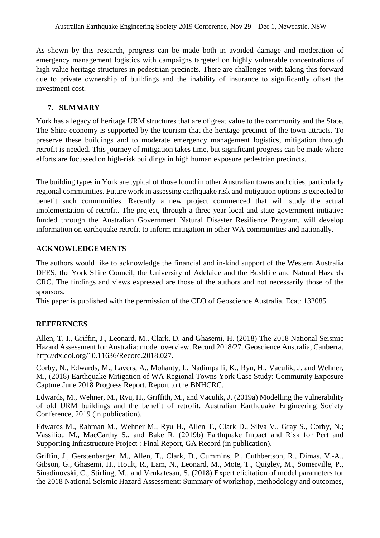As shown by this research, progress can be made both in avoided damage and moderation of emergency management logistics with campaigns targeted on highly vulnerable concentrations of high value heritage structures in pedestrian precincts. There are challenges with taking this forward due to private ownership of buildings and the inability of insurance to significantly offset the investment cost.

### **7. SUMMARY**

York has a legacy of heritage URM structures that are of great value to the community and the State. The Shire economy is supported by the tourism that the heritage precinct of the town attracts. To preserve these buildings and to moderate emergency management logistics, mitigation through retrofit is needed. This journey of mitigation takes time, but significant progress can be made where efforts are focussed on high-risk buildings in high human exposure pedestrian precincts.

The building types in York are typical of those found in other Australian towns and cities, particularly regional communities. Future work in assessing earthquake risk and mitigation options is expected to benefit such communities. Recently a new project commenced that will study the actual implementation of retrofit. The project, through a three-year local and state government initiative funded through the Australian Government Natural Disaster Resilience Program, will develop information on earthquake retrofit to inform mitigation in other WA communities and nationally.

#### **ACKNOWLEDGEMENTS**

The authors would like to acknowledge the financial and in-kind support of the Western Australia DFES, the York Shire Council, the University of Adelaide and the Bushfire and Natural Hazards CRC. The findings and views expressed are those of the authors and not necessarily those of the sponsors.

This paper is published with the permission of the CEO of Geoscience Australia. Ecat: 132085

#### **REFERENCES**

Allen, T. I., Griffin, J., Leonard, M., Clark, D. and Ghasemi, H. (2018) The 2018 National Seismic Hazard Assessment for Australia: model overview. Record 2018/27. Geoscience Australia, Canberra. [http://dx.doi.org/10.11636/Record.2018.027.](http://dx.doi.org/10.11636/Record.2018.027)

Corby, N., Edwards, M., Lavers, A., Mohanty, I., Nadimpalli, K., Ryu, H., Vaculik, J. and Wehner, M., (2018) Earthquake Mitigation of WA Regional Towns York Case Study: Community Exposure Capture June 2018 Progress Report. Report to the BNHCRC.

Edwards, M., Wehner, M., Ryu, H., Griffith, M., and Vaculik, J. (2019a) Modelling the vulnerability of old URM buildings and the benefit of retrofit. Australian Earthquake Engineering Society Conference, 2019 (in publication).

Edwards M., Rahman M., Wehner M., Ryu H., Allen T., Clark D., Silva V., Gray S., Corby, N.; Vassiliou M., MacCarthy S., and Bake R. (2019b) Earthquake Impact and Risk for Pert and Supporting Infrastructure Project : Final Report, GA Record (in publication).

Griffin, J., Gerstenberger, M., Allen, T., Clark, D., Cummins, P., Cuthbertson, R., Dimas, V.-A., Gibson, G., Ghasemi, H., Hoult, R., Lam, N., Leonard, M., Mote, T., Quigley, M., Somerville, P., Sinadinovski, C., Stirling, M., and Venkatesan, S. (2018) Expert elicitation of model parameters for the 2018 National Seismic Hazard Assessment: Summary of workshop, methodology and outcomes,